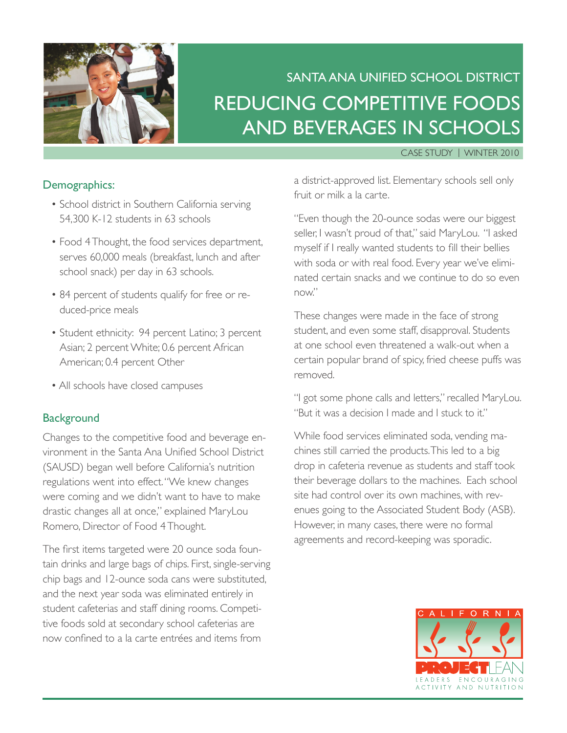

# Santa Ana Unified School District Reducing Competitive Foods and Beverages in Schools

#### Case Study | Winter 2010

#### Demographics:

- School district in Southern California serving 54,300 K-12 students in 63 schools
- Food 4 Thought, the food services department, serves 60,000 meals (breakfast, lunch and after school snack) per day in 63 schools.
- 84 percent of students qualify for free or reduced-price meals
- Student ethnicity: 94 percent Latino; 3 percent Asian; 2 percent White; 0.6 percent African American; 0.4 percent Other
- All schools have closed campuses

#### **Background**

Changes to the competitive food and beverage environment in the Santa Ana Unified School District (SAUSD) began well before California's nutrition regulations went into effect. "We knew changes were coming and we didn't want to have to make drastic changes all at once," explained MaryLou Romero, Director of Food 4 Thought.

The first items targeted were 20 ounce soda fountain drinks and large bags of chips. First, single-serving chip bags and 12-ounce soda cans were substituted, and the next year soda was eliminated entirely in student cafeterias and staff dining rooms. Competitive foods sold at secondary school cafeterias are now confined to a la carte entrées and items from

a district-approved list. Elementary schools sell only fruit or milk a la carte.

"Even though the 20-ounce sodas were our biggest seller, I wasn't proud of that," said MaryLou. "I asked myself if I really wanted students to fill their bellies with soda or with real food. Every year we've eliminated certain snacks and we continue to do so even now."

These changes were made in the face of strong student, and even some staff, disapproval. Students at one school even threatened a walk-out when a certain popular brand of spicy, fried cheese puffs was removed.

"I got some phone calls and letters," recalled MaryLou. "But it was a decision I made and I stuck to it."

While food services eliminated soda, vending machines still carried the products. This led to a big drop in cafeteria revenue as students and staff took their beverage dollars to the machines. Each school site had control over its own machines, with revenues going to the Associated Student Body (ASB). However, in many cases, there were no formal agreements and record-keeping was sporadic.

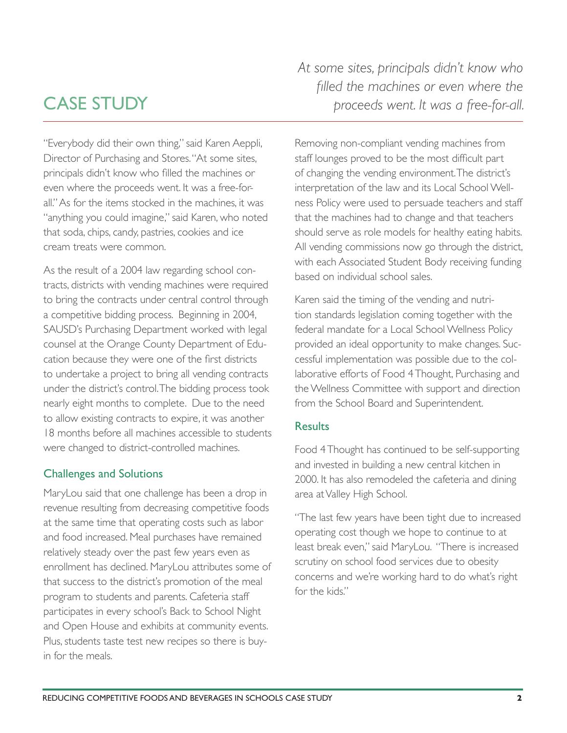## caSe StUDY

"Everybody did their own thing," said Karen Aeppli, Director of Purchasing and Stores. "At some sites, principals didn't know who filled the machines or even where the proceeds went. It was a free-forall." As for the items stocked in the machines, it was "anything you could imagine," said Karen, who noted that soda, chips, candy, pastries, cookies and ice cream treats were common.

As the result of a 2004 law regarding school contracts, districts with vending machines were required to bring the contracts under central control through a competitive bidding process. Beginning in 2004, SAUSD's Purchasing Department worked with legal counsel at the Orange County Department of Education because they were one of the first districts to undertake a project to bring all vending contracts under the district's control. The bidding process took nearly eight months to complete. Due to the need to allow existing contracts to expire, it was another 18 months before all machines accessible to students were changed to district-controlled machines.

### challenges and Solutions

MaryLou said that one challenge has been a drop in revenue resulting from decreasing competitive foods at the same time that operating costs such as labor and food increased. Meal purchases have remained relatively steady over the past few years even as enrollment has declined. MaryLou attributes some of that success to the district's promotion of the meal program to students and parents. Cafeteria staff participates in every school's Back to School Night and Open House and exhibits at community events. Plus, students taste test new recipes so there is buyin for the meals.

*At some sites, principals didn't know who*  filled the machines or even where the *proceeds went. It was a free-for-all.*

Removing non-compliant vending machines from staff lounges proved to be the most difficult part of changing the vending environment. The district's interpretation of the law and its Local School Wellness Policy were used to persuade teachers and staff that the machines had to change and that teachers should serve as role models for healthy eating habits. All vending commissions now go through the district, with each Associated Student Body receiving funding based on individual school sales.

Karen said the timing of the vending and nutrition standards legislation coming together with the federal mandate for a Local School Wellness Policy provided an ideal opportunity to make changes. Successful implementation was possible due to the collaborative efforts of Food 4 Thought, Purchasing and the Wellness Committee with support and direction from the School Board and Superintendent.

### **Results**

Food 4 Thought has continued to be self-supporting and invested in building a new central kitchen in 2000. It has also remodeled the cafeteria and dining area at Valley High School.

"The last few years have been tight due to increased operating cost though we hope to continue to at least break even," said MaryLou. "There is increased scrutiny on school food services due to obesity concerns and we're working hard to do what's right for the kids."